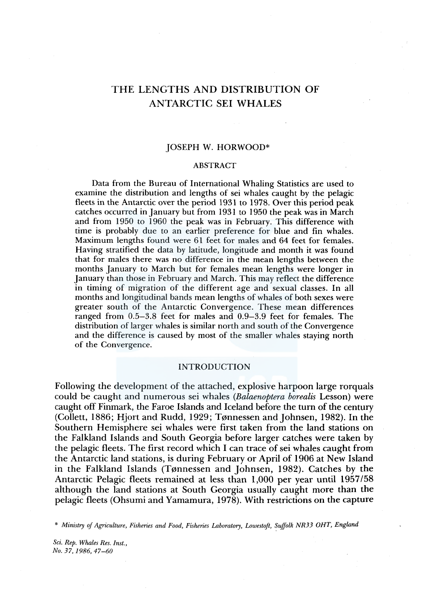# THE LENGTHS AND DISTRIBUTION OF ANTARCTIC SEI WHALES

#### JOSEPH W. HORWOOD\*

#### ABSTRACT

Data from the Bureau of International Whaling Statistics are used to examine the distribution and lengths of sei whales caught by the pelagic fleets in the Antarctic over the period 1931 to 1978. Over this period peak catches occurred in January but from 1931 to 1950 the peak was in March and from 1950 to 1960 the peak was in February. This difference with time is probably due to an earlier preference for blue and fin whales. Maximum lengths found were 61 feet for males and 64 feet for females. Having stratified the data by latitude, longitude and month it was found that for males there was no difference in the mean lengths between the months January to March but for females mean lengths were longer in January than those in February and March. This may reflect the difference in timing of migration of the different age and sexual classes. In all months and longitudinal bands mean lengths of whales of both sexes were greater south of the Antarctic Convergence. These mean differences ranged from 0.5-3.8 feet for males and 0.9-3.9 feet for females. The distribution of larger whales is similar north and south of the Convergence and the difference is caused by most of the smaller whales staying north of the Convergence.

#### INTRODUCTION

Following the development of the attached, explosive harpoon large rorquals could be caught and numerous sei whales *(Balaenoptera borealis* Lesson) were caught off Finmark, the Faroe Islands and Iceland before the turn of the century (Collett, 1886; Hjort and Rudd, 1929; Tønnessen and Johnsen, 1982). In the Southern Hemisphere sei whales were first taken from the land stations on the Falkland Islands and South Georgia before larger catches were taken by the pelagic fleets. The first record which I can trace of sei whales caught from the Antarctic land stations, is during February or April of 1906 at New Island in the Falkland Islands (Tønnessen and Johnsen, 1982). Catches by the Antarctic Pelagic fleets remained at less than 1,000 per year until 1957/58 although the land stations at South Georgia usually caught more than the pelagic fleets (Ohsumi and Yamamura, 1978). With restrictions on the capture

\* *Ministry of Agriculture, Fisheries and Food, Fisheries Laboratory, Lowestoft, Suffolk NR33 OHT, England* 

*Sci. Rep. Whales Res. Inst., No. 37, 1986, 47-60*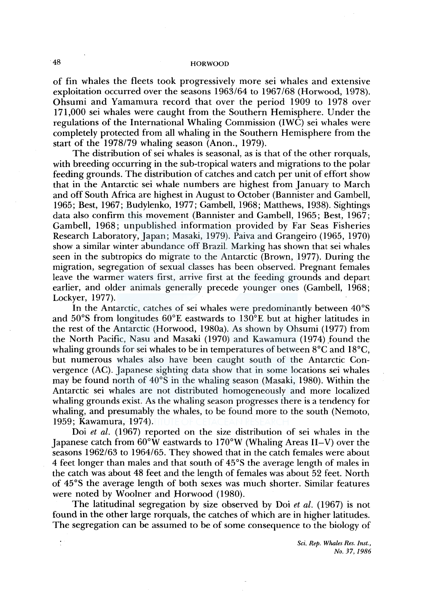of fin whales the fleets took progressively more sei whales and extensive exploitation occurred over the seasons 1963/64 to 1967 /68 (Horwood, 1978). Ohsumi and Yamamura record that over the period 1909 to 1978 over 171,000 sei whales were caught from the Southern Hemisphere. Under the regulations of the International Whaling Commission (IWC) sei whales were completely protected from all whaling in the Southern Hemisphere from the start of the 1978/79 whaling season (Anon., 1979).

The distribution of sei whales is seasonal, as is that of the other rorquals, with breeding occurring in the sub-tropical waters and migrations to the polar feeding grounds. The distribution of catches and catch per unit of effort show that in the Antarctic sei whale numbers are highest from January to March and off South Africa are highest in August to October (Bannister and Gambell, 1965; Best, 1967; Budylenko, 1977; Gambell, 1968; Matthews, 1938). Sightings data also confirm this movement (Bannister and Gambell, 1965; Best, 1967; Gambell, 1968; unpublished information provided by Far Seas Fisheries Research Laboratory, Japan; Masaki, 1979). Paiva and Grangeiro (1965, 1970) show a similar winter abundance off Brazil. Marking has shown that sei whales seen in the subtropics do migrate to the Antarctic (Brown, 1977). During the migration, segregation of sexual classes has been observed. Pregnant females leave the warmer waters first, arrive first at the feeding grounds and depart earlier, and older animals generally precede younger ones (Gambell, 1968; Lockyer, 1977).

In the Antarctic, catches of sei whales were predominantly between 40°S and 50°S from longitudes 60°E eastwards to 130°E but at higher latitudes in the rest of the Antarctic (Horwood, 1980a). As shown by Ohsumi (1977) from the North Pacific, Nasu and Masaki (1970) and Kawamura (1974) found the whaling grounds for sei whales to be in temperatures of between 8°C and 18°C, but numerous whales also have been caught south of the Antarctic Convergence (AC). Japanese sighting data show that in some locations sei whales may be found north of 40°S in the whaling season (Masaki, 1980). Within the Antarctic sei whales are not distributed homogeneously and more localized whaling grounds exist. As the whaling season progresses there is a tendency for whaling, and presumably the whales, to be found more to the south (Nemoto, 1959; Kawamura, 1974).

Doi *et al.* (1967) reported on the size distribution of sei whales in the Japanese catch from 60°W eastwards to 170°W (Whaling Areas 11-V) over the seasons 1962/63 to 1964/65. They showed that in the catch females were about 4 feet longer than males and that south of 45°S the average length of males in the catch was about 48 feet and the length of females was about 52 feet. North of 45°S the average length of both sexes was much shorter. Similar features were noted by Woolner and Horwood (1980).

The latitudinal segregation by size observed by Doi *et al.* ( 1967) is not found in the other large rorquals, the catches of which are in higher latitudes. The segregation can be assumed to be of some consequence to the biology of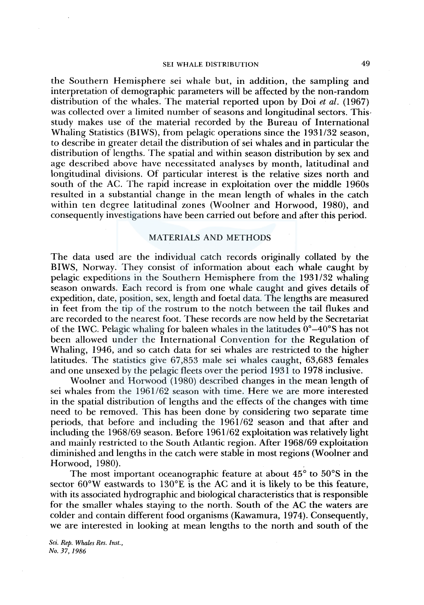the Southern Hemisphere sei whale but, in addition, the sampling and interpretation of demographic parameters will be affected by the non-random distribution of the whales. The material reported upon by Doi *et al.* (1967) was collected over a limited number of seasons and longitudinal sectors. This· study makes use of the material recorded by the Bureau of International Whaling Statistics (BIWS), from pelagic operations since the 1931/32 season, to describe in greater detail the distribution of sei whales and in particular the distribution of lengths. The spatial and within season distribution by sex and age described above have necessitated analyses by month, latitudinal and longitudinal divisions. Of particular interest is the relative sizes north and south of the AC. The rapid increase in exploitation over the middle 1960s resulted in a substantial change in the mean length of whales in the catch within ten degree latitudinal zones (Woolner and Horwood, 1980), and consequently investigations have been carried out before and after this period.

## MATERIALS AND METHODS

The data used are the individual catch records originally collated by the BIWS, Norway. They consist of information about each whale caught by pelagic expeditions in the Southern Hemisphere from the 1931/32 whaling season onwards. Each record is from one whale caught and gives details of expedition, date, position, sex, length and foetal data. The lengths are measured in feet from the tip of the rostrum to the notch between the tail flukes and are recorded to the nearest foot. These records are now held by the Secretariat of the IWC. Pelagic whaling for baleen whales in the latitudes  $0^{\circ} - 40^{\circ}$ S has not been allowed under the International Convention for the Regulation of Whaling, 1946, and so catch data for sei whales are restricted to the higher latitudes. The statistics give 67,853 male sei whales caught, 63,683 females and one unsexed by the pelagic fleets over the period 1931 to 1978 inclusive.

Woolner and Horwood (1980) described changes in the mean length of sei whales from the 1961/62 season with time. Here we are more interested in the spatial distribution of lengths and the effects of the changes with time need to be removed. This has been done by considering two separate time periods, that before and including the 1961/62 season and that after and including the 1968/69 season. Before 1961 /62 exploitation was relatively light and mainly restricted to the South Atlantic region. After 1968/69 exploitation diminished and lengths in the catch were stable in most regions (Woolner and Horwood, 1980).

The most important oceanographic feature at about 45° to 50°S in the sector 60°W eastwards to 130°E is the AC and it is likely to be this feature, with its associated hydrographic and biological characteristics that is responsible for the smaller whales staying to the north. South of the AC the waters are colder and contain different food organisms (Kawamura, 1974). Consequently, we are interested in looking at mean lengths to the north and south of the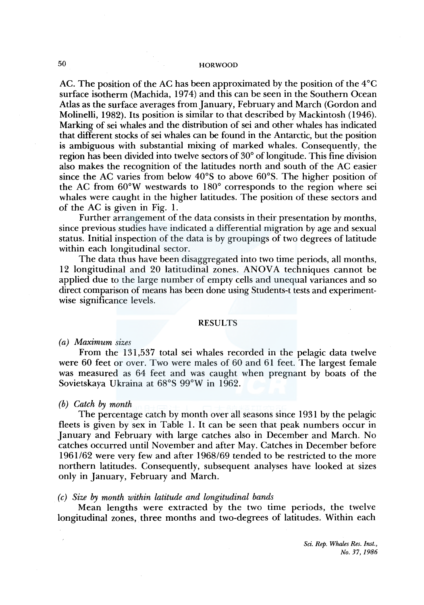AC. The position of the AC has been approximated by the position of the  $4^{\circ}C$ surface isotherm (Machida, 1974) and this can be seen in the Southern Ocean Atlas as the surface averages from January, February and March (Gordon and Molinelli, 1982). Its position is similar to that described by Mackintosh ( 1946). Marking of sei whales and the distribution of sei and other whales has indicated that different stocks of sei whales can be found in the Antarctic, but the position is ambiguous with substantial mixing of marked whales. Consequently, the region has been divided into twelve sectors of 30° of longitude. This fine division also makes the recognition of the latitudes north and south of the AC easier since the AC varies from below 40°S to above 60°S. The higher position of the AC from 60°W westwards to 180° corresponds to the region where sei whales were caught in the higher latitudes. The position of these sectors and of the AC is given in Fig. 1.

Further arrangement of the data consists in their presentation by months, since previous studies have indicated a differential migration by age and sexual status. Initial inspection of the data is by groupings of two degrees of latitude within each longitudinal sector.

The data thus have been disaggregated into two time periods, all months, 12 longitudinal and 20 latitudinal zones. ANOVA techniques cannot be applied due to the large number of empty cells and unequal variances and so direct comparison of means has been done using Students-t tests and experimentwise significance levels.

#### RESULTS

#### *(a) Maximum sizes*

From the 131,537 total sei whales recorded in the pelagic data twelve were 60 feet or over. Two were males of 60 and 61 feet. The largest female was measured as 64 feet and was caught when pregnant by boats of the Sovietskaya Ukraina at 68°S 99°W in 1962.

#### *(b) Catch by month*

The percentage catch by month over all seasons since 1931 by the pelagic fleets is given by sex in Table 1. It can be seen that peak numbers occur in January and February with large catches also in December and March. No catches occurred until November and after May. Catches in December before 1961 /62 were very few and after 1968/69 tended to be restricted to the more northern latitudes. Consequently, subsequent analyses have looked at sizes only in January, February and March.

#### *( c) Size by month within latitude and longitudinal bands*

Mean lengths were extracted by the two time periods, the twelve longitudinal zones, three months and two-degrees of latitudes. Within each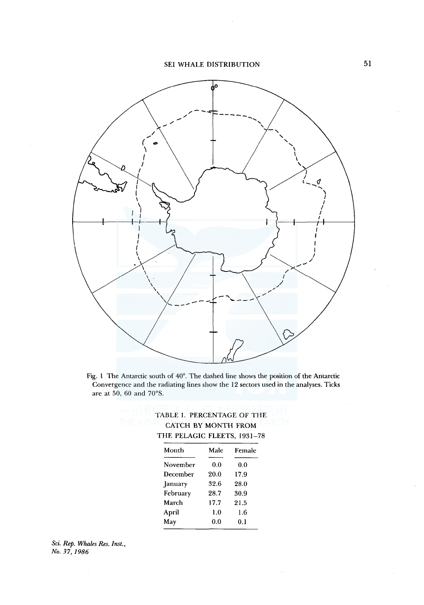

Fig. l The Antarctic south of 40°. The dashed line shows the position of the Antarctic Convergence and the radiating lines show the 12 sectors used in the analyses. Ticks are at 50, 60 and 70°S.

| TABLE 1. PERCENTAGE OF THE  |
|-----------------------------|
| <b>CATCH BY MONTH FROM</b>  |
| THE PELAGIC FLEETS, 1931-78 |

| Month    | Male | Female |
|----------|------|--------|
| November | 0.0  | 0.0    |
| December | 20.0 | 17.9   |
| January  | 32.6 | 28.0   |
| February | 28.7 | 30.9   |
| March    | 17.7 | 21.5   |
| April    | 1.0  | 1.6    |
| May      | 0.0  | 0.1    |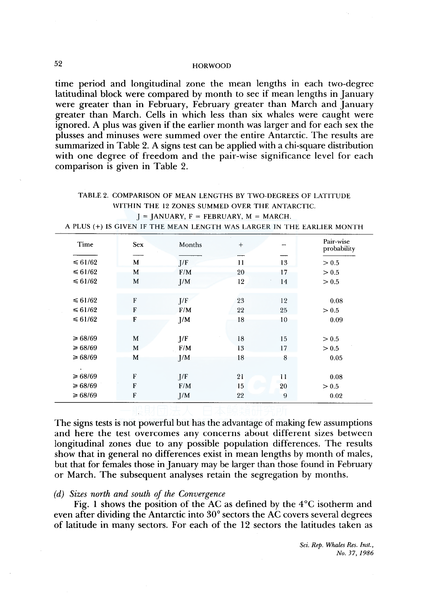time period and longitudinal zone the mean lengths in each two-degree latitudinal block were compared by month to see if mean lengths in January were greater than in February, February greater than March and January greater than March. Cells in which less than six whales were caught were ignored. A plus was given if the earlier month was larger and for each sex the plusses and minuses were summed over the entire Antarctic. The results are summarized in Table 2. A signs test can be applied with a chi-square distribution with one degree of freedom and the pair-wise significance level for each comparison is given in Table 2.

## TABLE 2. COMPARISON OF MEAN LENGTHS BY TWO-DEGREES OF LATITUDE WITHIN THE 12 ZONES SUMMED OVER THE ANTARCTIC.  $J = JANUARY$ ,  $F = FEBRUARY$ ,  $M = MARCH$ .

A PLUS(+) IS GIVEN IF THE MEAN LENGTH WAS LARGER IN THE EARLIER MONTH

| Time         | <b>Sex</b> | Months | $+$ |    | Pair-wise<br>probability |
|--------------|------------|--------|-----|----|--------------------------|
| $\leq 61/62$ | M          | J/F    | 11  | 13 | > 0.5                    |
|              |            |        |     |    |                          |
| $\leq 61/62$ | M          | F/M    | 20  | 17 | > 0.5                    |
| $\leq 61/62$ | M          | J/M    | 12  | 14 | > 0.5                    |
|              |            |        |     |    |                          |
| $\leq 61/62$ | F          | J/F    | 23  | 12 | 0.08                     |
| $\leq 61/62$ | F          | F/M    | 22  | 25 | > 0.5                    |
| $\leq 61/62$ | F          | J/M    | 18  | 10 | 0.09                     |
|              |            |        |     |    |                          |
| ≥ 68/69      | M          | J/F    | 18  | 15 | > 0.5                    |
| ≥ 68/69      | M          | F/M    | 13  | 17 | > 0.5                    |
| $\geq 68/69$ | M          | J/M    | 18  | 8  | 0.05                     |
|              |            |        |     |    |                          |
|              |            |        |     |    |                          |
| $\geq 68/69$ | F          | J/F    | 21  | 11 | 0.08                     |
| $\geq 68/69$ | F          | F/M    | 15  | 20 | > 0.5                    |
| ≥ 68/69      | F          | I/M    | 22  | 9  | 0.02                     |
|              |            |        |     |    |                          |

The signs tests is not powerful but has the advantage of making few assumptions and here the test overcomes any concerns about different sizes between longitudinal zones due to any possible population differences. The results show that in general no differences exist in mean lengths by month of males, but that for females those in January may be larger than those found in February or March. The subsequent analyses retain the segregation by months.

#### *(d) Sizes north and south of the Convergence*

Fig. 1 shows the position of the AC as defined by the  $4^{\circ}$ C isotherm and even after dividing the Antarctic into 30° sectors the AC covers several degrees of latitude in many sectors. For each of the 12 sectors the latitudes taken as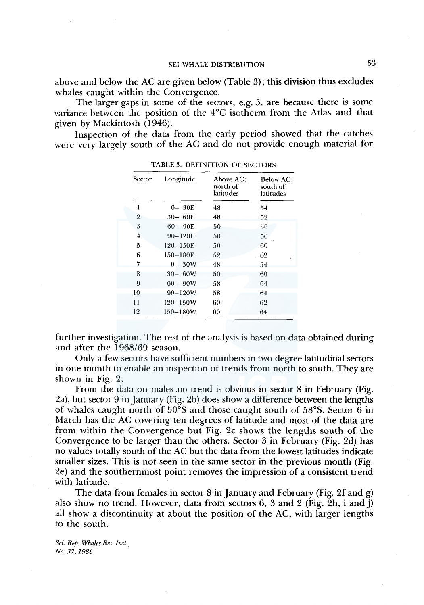above and below the AC are given below (Table 3); this division thus excludes whales caught within the Convergence.

The larger gaps in some of the sectors, e.g. 5, are because there is some variance between the position of the  $4^{\circ}$ C isotherm from the Atlas and that given by Mackintosh (1946).

Inspection of the data from the early period showed that the catches were very largely south of the AC and do not provide enough material for

| Sector         | Longitude    | Above AC:<br>north of<br>latitudes | Below AC:<br>south of<br>latitudes |
|----------------|--------------|------------------------------------|------------------------------------|
| 1              | $0-30E$      | 48                                 | 54                                 |
| $\overline{2}$ | $30 - 60E$   | 48                                 | 52                                 |
| 3              | $60 - 90E$   | 50                                 | 56                                 |
| $\overline{4}$ | $90 - 120E$  | 50                                 | 56                                 |
| 5              | $120 - 150E$ | 50                                 | 60                                 |
| 6              | 150-180E     | 52                                 | 62                                 |
| 7              | $0 - 30W$    | 48                                 | 54                                 |
| 8              | $30 - 60W$   | 50                                 | 60                                 |
| 9              | $60 - 90W$   | 58                                 | 64                                 |
| 10             | $90 - 120W$  | 58                                 | 64                                 |
| $\mathbf{1}$   | $120 - 150W$ | 60                                 | 62                                 |
| 12             | $150 - 180W$ | 60                                 | 64                                 |

TABLE 3. DEFINITION OF SECTORS

further investigation. The rest of the analysis is based on data obtained during and after the 1968/69 season.

Only a few sectors have sufficient numbers in two-degree latitudinal sectors in one month to enable an inspection of trends from north to south. They are shown in Fig. 2.

From the data on males no trend is obvious in sector 8 in February (Fig. 2a), but sector 9 in January (Fig. 2b) does show a difference between the lengths of whales caught north of 50°S and those caught south of 58°S. Sector 6 in March has the AC covering ten degrees of latitude and most of the data are from within the Convergence but Fig. 2c shows the lengths south of the Convergence to be larger than the others. Sector 3 in February (Fig. 2d) has no values totally south of the AC but the data from the lowest latitudes indicate smaller sizes. This is not seen in the same sector in the previous month (Fig. 2e) and the southernmost point removes the impression of a consistent trend with latitude.

The data from females in sector 8 in January and February (Fig. 2f and g) also show no trend. However, data from sectors  $6, 3$  and  $2$  (Fig. 2h, i and j) all show a discontinuity at about the position of the AC, with larger lengths to the south.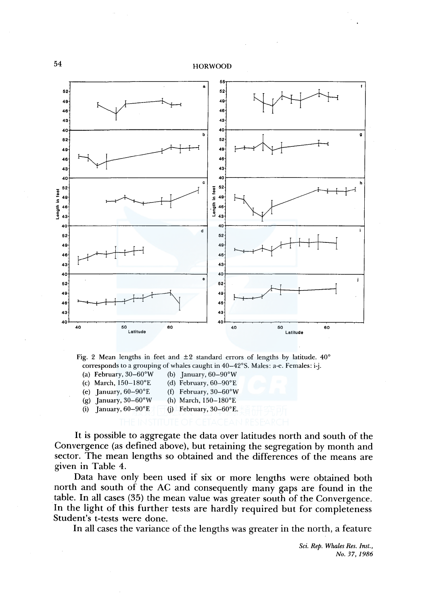

Fig. 2 Mean lengths in feet and  $\pm 2$  standard errors of lengths by latitude. 40° corresponds to a grouping of whales caught in 40-42°5. Males: a-e. Females: i-j.

(a) February,  $30-60^{\circ}$ W (b) January,  $60-90^{\circ}$ W (c) March,  $150-180$ °E (d) February,  $60-90$ °E (e) January,  $60-90^{\circ}E$  (f) February,  $30-60^{\circ}W$ (g) January,  $30-60°W$  (h) March,  $150-180°E$ 

(i) January,  $60-90^{\circ}E$  (i) February,  $30-60^{\circ}E$ .

It is possible to aggregate the data over latitudes north and south of the Convergence (as defined above), but retaining the segregation by month and sector. The mean lengths so obtained and the differences of the means are given in Table 4.

Data have only been used if six or more lengths were obtained both north and south of the AC and consequently many gaps are found in the table. In all cases (35) the mean value was greater south of the Convergence. In the light of this further tests are hardly required but for completeness Student's t-tests were done.

In all cases the variance of the lengths was greater in the north, a feature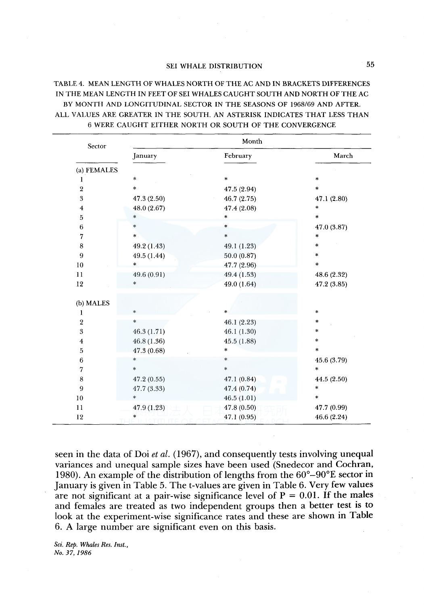## TABLE 4. MEAN LENGTH OF WHALES NORTH OF THE AC AND IN BRACKETS DIFFERENCES IN THE MEAN LENGTH IN FEET OF SEI WHALES CAUGHT SOUTH AND NORTH OF THE AC BY MONTH AND LONGITUDINAL SECTOR IN THE SEASONS OF 1968/69 AND AFTER. ALL VALUES ARE GREATER IN THE SOUTH. AN ASTERISK INDICATES THAT LESS THAN 6 WERE CAUGHT EITHER NORTH OR SOUTH OF THE CONVERGENCE

| Sector                  |              | Month       |             |
|-------------------------|--------------|-------------|-------------|
|                         | January      | February    | March       |
| (a) FEMALES             |              |             |             |
| 1                       | $\dot{\ast}$ | $\ast$      | $\ast$      |
| $\overline{2}$          | $\ast$       | 47.5 (2.94) | $\ast$      |
| 3                       | 47.3 (2.50)  | 46.7 (2.75) | 47.1 (2.80) |
| $\overline{\mathbf{4}}$ | 48.0 (2.67)  | 47.4 (2.08) | $\ast$      |
| 5                       | $\ast$       | $\ast$      | $\ast$      |
| 6                       | $\ast$       | $\ast$      | 47.0 (3.87) |
| 7                       | *            | $\ast$      | $\ast$      |
| 8                       | 49.2 (1.43)  | 49.1 (1.23) | $\star$     |
| 9                       | 49.5 (1.44)  | 50.0(0.87)  | $\ast$      |
| 10                      | $\ast$       | 47.7 (2.96) | $\ast$      |
| 11                      | 49.6 (0.91)  | 49.4 (1.53) | 48.6 (2.32) |
| 12                      | *            | 49.0 (1.64) | 47.2 (3.85) |
|                         |              |             |             |
| (b) MALES               |              |             |             |
| 1                       | *            | $\ast$      | $\ast$      |
| $\boldsymbol{2}$        | *            | 46.1 (2.23) | $\ast$      |
| 3                       | 46.3(1.71)   | 46.1(1.30)  | $\star$     |
| $\overline{\mathbf{4}}$ | 46.8 (1.36)  | 45.5 (1.88) | $\star$     |
| 5                       | 47.3 (0.68)  | $\ast$      | $\ast$      |
| 6                       | *            | *           | 45.6 (3.79) |
| 7                       | $\ast$       | *           | $\ast$      |
| 8                       | 47.2(0.55)   | 47.1 (0.84) | 44.5 (2.50) |
| 9                       | 47.7 (3.33)  | 47.4 (0.74) | $\ast$      |
| 10                      | *            | 46.5(1.01)  | $\star$     |
| 11                      | 47.9 (1.23)  | 47.8(0.50)  | 47.7 (0.99) |
| 12                      | $\ast$       | 47.1(0.95)  | 46.6 (2.24) |

seen in the data of Doi *et al.* (1967), and consequently tests involving unequal variances and unequal sample sizes have been used (Snedecor and Cochran, 1980). An example of the distribution of lengths from the 60°-90°E sector in January is given in Table 5. The t-values are given in Table 6. Very few values are not significant at a pair-wise significance level of  $P = 0.01$ . If the males and females are treated as two independent groups then a better test is to look at the experiment-wise significance rates and these are shown in Table 6. A large number are significant even on this basis.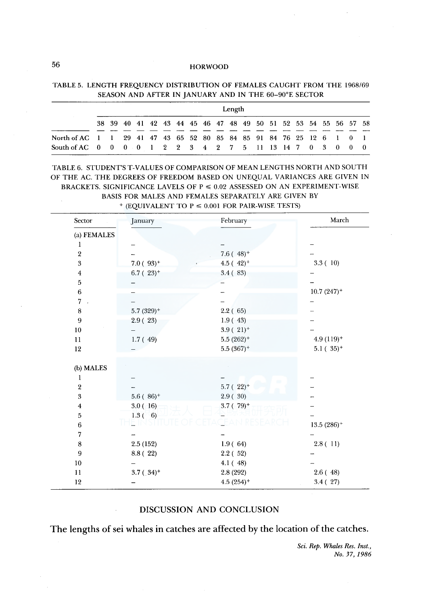|                                                                      |  |  |  |  |  | Length |                                                                |  |  |  |  |
|----------------------------------------------------------------------|--|--|--|--|--|--------|----------------------------------------------------------------|--|--|--|--|
|                                                                      |  |  |  |  |  |        | 38 39 40 41 42 43 44 45 46 47 48 49 50 51 52 53 54 55 56 57 58 |  |  |  |  |
| North of AC 1 1 29 41 47 43 65 52 80 85 84 85 91 84 76 25 12 6 1 0 1 |  |  |  |  |  |        |                                                                |  |  |  |  |
| South of AC 0 0 0 0 1 2 2 3 4 2 7 5 11 13 14 7 0 3 0 0 0             |  |  |  |  |  |        |                                                                |  |  |  |  |

TABLE 5. LENGTH FREQUENCY DISTRIBUTION OF FEMALES CAUGHT FROM THE 1968/69 SEASON AND AFTER IN JANUARY AND IN THE 60-90°E SECTOR

TABLE 6. STUDENT'S T-VALUES OF COMPARISON OF MEAN LENGTHS NORTH AND SOUTH OF THE AC. THE DEGREES OF FREEDOM BASED ON UNEQUAL VARIANCES ARE GIVEN IN BRACKETS. SIGNIFICANCE LAVELS OF  $P \le 0.02$  ASSESSED ON AN EXPERIMENT-WISE BASIS FOR MALES AND FEMALES SEPARATELY ARE GIVEN BY

| Sector                  | January                 | February                    | March                   |
|-------------------------|-------------------------|-----------------------------|-------------------------|
| (a) FEMALES             |                         |                             |                         |
| 1                       |                         |                             |                         |
| $\,2\,$                 |                         | $7.6(48)$ <sup>+</sup>      |                         |
| $\overline{\mathbf{3}}$ | $7.0(93)^+$             | 4.5 ( $42$ ) <sup>+</sup>   | 3.3(10)                 |
| 4                       | $6.7$ (23) <sup>+</sup> | 3.4(83)                     |                         |
| 5                       |                         |                             |                         |
| $\bf 6$                 |                         |                             | $10.7(247)^+$           |
| $\overline{7}$          |                         |                             |                         |
| $\bf 8$                 | $5.7(329)$ <sup>+</sup> | 2.2(65)                     |                         |
| $\boldsymbol{9}$        | 2.9(23)                 | 1.9(43)                     |                         |
| 10                      |                         | $3.9(21)$ <sup>+</sup>      |                         |
| 11                      | 1.7(49)                 | $5.5(262)^+$                | $4.9(119)$ <sup>+</sup> |
| 12                      |                         | $5.5(367)^+$                | $5.1(35)^+$             |
| (b) MALES               |                         |                             |                         |
| 1                       |                         |                             |                         |
| $\boldsymbol{2}$        |                         | $5.7(22)^+$                 |                         |
| $\sqrt{3}$              | $5.6(86)^+$             | 2.9(30)                     |                         |
| $\overline{\bf 4}$      | 3.0(16)                 | $3.7$ ( $79$ ) <sup>+</sup> |                         |
| 5                       | $1.3(-6)$               |                             |                         |
| $\,6\,$                 |                         |                             | $13.5\ (286)^+$         |
| 7                       |                         |                             |                         |
| $\bf8$                  | 2.5(152)                | 1.9(64)                     | 2.8(11)                 |
| $\boldsymbol{9}$        | 8.8 (22)                | 2.2(52)                     |                         |
| 10                      |                         | 4.1(48)                     |                         |
| $\mathbf{11}$           | $3.7(.34)$ <sup>+</sup> | 2.8 (292)                   | 2.6(48)                 |
| 12                      |                         | $4.5(254)$ <sup>+</sup>     | 3.4(27)                 |

 $+$  (EQUIVALENT TO P  $\leq$  0.001 FOR PAIR-WISE TESTS)

## DISCUSSION AND CONCLUSION

The lengths of sei whales in catches are affected by the location of the catches.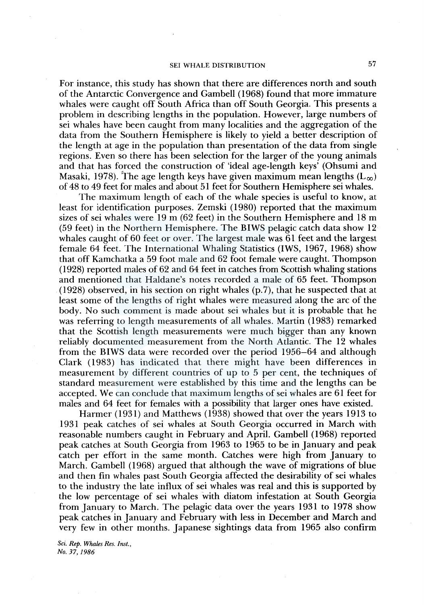For instance, this study has shown that there are differences north and south of the Antarctic Convergence and Gambell ( 1968) found that more immature whales were caught off South Africa than off South Georgia. This presents a problem in describing lengths in the population. However, large numbers of sei whales have been caught from many localities and the aggregation of the data from the Southern Hemisphere is likely to yield a better description of the length at age in the population than presentation of the data from single regions. Even so there has been selection for the larger of the young animals and that has forced the construction of 'ideal age-length keys' (Ohsumi and Masaki, 1978). The age length keys have given maximum mean lengths  $(L_{\infty})$ of 48 to 49 feet for males and about 51 feet for Southern Hemisphere sei whales.

The maximum length of each of the whale species is useful to know, at least for identification purposes. Zemski (1980) reported that the maximum sizes of sei whales were 19 m (62 feet) in the Southern Hemisphere and 18 m (59 feet) in the Northern Hemisphere. The BIWS pelagic catch data show 12 whales caught of 60 feet or over. The largest male was 61 feet and the largest female 64 feet. The International Whaling Statistics (IWS, 1967, 1968) show that off Kamchatka a 59 foot male and 62 foot female were caught. Thompson ( 1928) reported males of 62 and 64 feet in catches from Scottish whaling stations and mentioned that Haldane's notes recorded a male of 65 feet. Thompson  $(1928)$  observed, in his section on right whales  $(p.7)$ , that he suspected that at least some of the lengths of right whales were measured along the arc of the body. No such comment is made about sei whales but it is probable that he was referring to length measurements of all whales. Martin (1983) remarked that the Scottish length measurements were much bigger than any known reliably documented measurement from the North Atlantic. The 12 whales from the BIWS data were recorded over the period 1956-64 and although Clark ( 1983) has indicated that there might have been differences in measurement by different countries of up to 5 per cent, the techniques of standard measurement were established by this time and the lengths can be accepted. We can conclude that maximum lengths of sei whales are 61 feet for males and 64 feet for females with a possibility that larger ones have existed.

Harmer ( 1931) and Matthews (1938) showed that over the years 1913 to 1931 peak catches of sei whales at South Georgia occurred in March with reasonable numbers caught in February and April. Gambell (1968) reported peak catches at South Georgia from 1963 to 1965 to be in January and peak catch per effort in the same month. Catches were high from January to March. Gambell (1968) argued that although the wave of migrations of blue and then fin whales past South Georgia affected the desirability of sei whales to the industry the late influx of sei whales was real and this is supported by the low percentage of sei whales with diatom infestation at South Georgia from January to March. The pelagic data over the years 1931 to 1978 show peak catches in January and February with less in December and March and very few in other months. Japanese sightings data from 1965 also confirm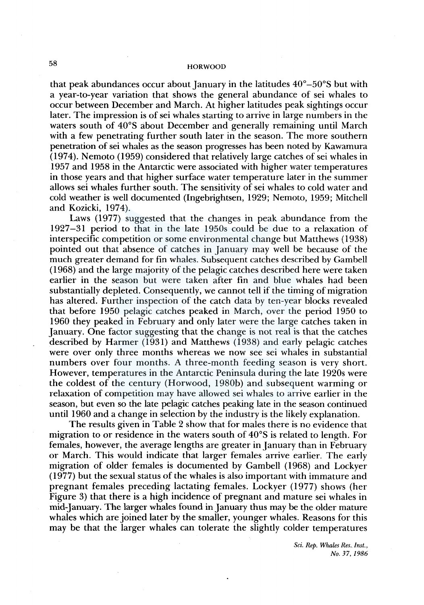that peak abundances occur about January in the latitudes  $40^{\circ} - 50^{\circ}$ S but with a year-to-year variation that shows the general abundance of sei whales to occur between December and March. At higher latitudes peak sightings occur later. The impression is of sei whales starting to arrive in large numbers in the waters south of 40°S about December and generally remaining until March with a few penetrating further south later in the season. The more southern penetration of sei whales as the season progresses has been noted by Kawamura (1974). Nemoto (1959) considered that relatively large catches of sei whales in 1957 and 1958 in the Antarctic were associated with higher water temperatures in those years and that higher surface water temperature later in the summer allows sei whales further south. The sensitivity of sei whales to cold water and cold weather is well documented (Ingebrightsen, 1929; Nemoto, 1959; Mitchell and Kozicki, 1974).

Laws (1977) suggested that the changes in peak abundance from the 1927-31 period to that in the late 1950s could be due to a relaxation of interspecific competition or some environmental change but Matthews (1938) pointed out that absence of catches in January may well be because of the much greater demand for fin whales. Subsequent catches described by Gambell ( 1968) and the large majority of the pelagic catches described here were taken earlier in the season but were taken after fin and blue whales had been substantially depleted. Consequently, we cannot tell if the timing of migration has altered. Further inspection of the catch data by ten-year blocks revealed that before 1950 pelagic catches peaked in March, over the period 1950 to 1960 they peaked in February and only later were the large catches taken in January. One factor suggesting that the change is not real is that the catches described by Harmer ( 1931) and Matthews ( 1938) and early pelagic catches were over only three months whereas we now see sei whales in substantial numbers over four months. A three-month feeding season is very short. However, temperatures in the Antarctic Peninsula during the late 1920s were the coldest of the century (Horwood, l 980b) and subsequent warming or relaxation of competition may have allowed sei whales to arrive earlier in the season, but even so the late pelagic catches peaking late in the season continued until 1960 and a change in selection by the industry is the likely explanation.

The results given in Table 2 show that for males there is no evidence that migration to or residence in the waters south of 40°S is related to length. For females, however, the average lengths are greater in January than in February or March. This would indicate that larger females arrive earlier. The early migration of older females is documented by Gambell ( 1968) and Lockyer ( 1977) but the sexual status of the whales is also important with immature and pregnant females preceding lactating females. Lockyer ( 1977) shows (her Figure 3) that there is a high incidence of pregnant and mature sei whales in mid-January. The larger whales found in January thus may be the older mature whales which are joined later by the smaller, younger whales. Reasons for this may be that the larger whales can tolerate the slightly colder temperatures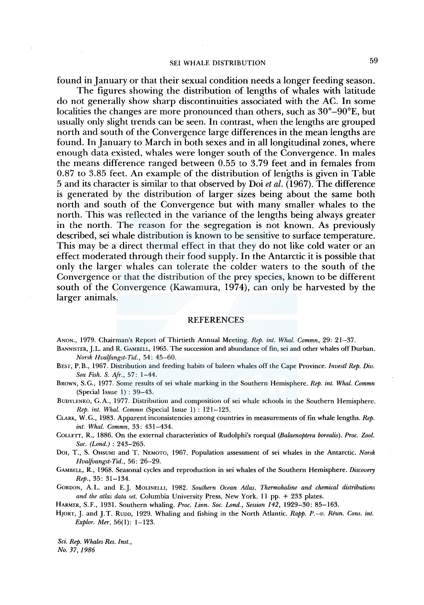found in January or that their sexual condition needs a longer feeding season.

The figures showing the distribution of lengths of whales with latitude do not generally show sharp discontinuities associated with the AC. In some localities the changes are more pronounced than others, such as  $30^{\circ}-90^{\circ}$ E, but usually only slight trends can be seen. In contrast, when the lengths are grouped north and south of the Convergence large differences in the mean lengths are found. In January to March in both sexes and in all longitudinal zones, where enough data existed, whales were longer south of the Convergence. In males the means difference ranged between 0.55 to 3.79 feet and in females from 0.87 to 3.85 feet. An example of the distribution of lengths is given in Table 5 and its character is similar to that observed by Doi *et al.* (1967). The difference is generated by the distribution of larger sizes being about the same both north and south of the Convergence but with many smaller whales to the north. This was reflected in the variance of the lengths being always greater in the north. The reason for the segregation is not known. As previously described, sei whale distribution is known to be sensitive to surface temperature. This may be a direct thermal effect in that they do not like cold water or an effect moderated through their food supply. In the Antarctic it is possible that only the larger whales can tolerate the colder waters to the south of the Convergence or that the distribution of the prey species, known to be different south of the Convergence (Kawamura, 1974), can only be harvested by the larger animals.

#### REFERENCES

ANON., 1979. Chairman's Report of Thirtieth Annual Meeting. *Rep. int. Whal. Commn,* 29: 21-37.

BANNISTER, J. L. and R. GAMBELL, 1965. The succession and abundance of fin, sei and other whales off Durban. *Norsk Hvalfangst-Tid.,* 54: 45-60.

BEST, P. B., 1967. Distribution and feeding habits of baleen whales off the Cape Province. *Investl Rep. Div. Sea Fish. S. Afr.,* 57: 1-44.

BROWN, S.G., 1977. Some results of sei whale marking in the Southern Hemisphere. *Rep. int. Whal. Commn*  (Special Issue 1) : 39-43.

BunYLENKO, G.A., 1977. Distribution and composition of sei whale schools in the Southern Hemisphere. *Rep. int. Whal. Commn* (Special Issue 1) : 121-123.

CLARK, W. G., l 983. Apparent inconsistencies among countries in measurements of fin whale lengths. *Rep. int. Whal. Commn,* 33: 431-434.

COLLETT, R., 1886. On the external characteristics of Rudolphi's rorqual *(Balaenoptera borealis). Proc. Zoo!. Soc. (Lond.)* : 243-265.

DOI, T., S. OHSUMI and T. NEMOTO, 1967. Population assessment of sei whales in the Antarctic. *Norsk Hvalfuangst-Tid.,* 56: 26-29.

GAMBELL, R., 1968. Seasonal cycles and reproduction in sei whales of the Southern Hemisphere. *Discovery Rep.,* 35: 31-134.

GORDON, A. L. and E.J. MOLINELLI, 1982. *Southern Ocean Atlas. Thermohaline and chemical distributions and the atlas data set.* Columbia University Press, New York. 11 pp. + 233 plates.

HARMER, S.F., 1931. Southern whaling. *Proc. Linn. Soc. Lond., Session* 142, 1929-30: 85-163.

HJORT, J. and J.T. RUDD, 1929. Whaling and fishing in the North Atlantic. Rapp. P.-v. Réun. Cons. int. *Explor. Mer,* 56(1): 1-123.